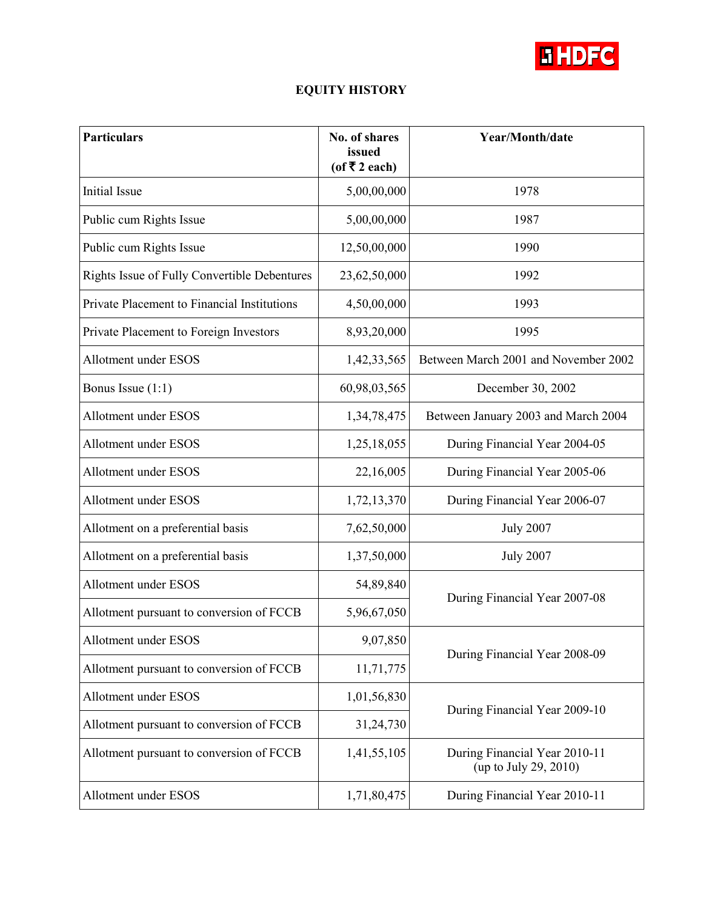

## **EQUITY HISTORY**

| <b>Particulars</b>                           | No. of shares<br>issued<br>(of ₹2 each) | Year/Month/date                                        |
|----------------------------------------------|-----------------------------------------|--------------------------------------------------------|
| Initial Issue                                | 5,00,00,000                             | 1978                                                   |
| Public cum Rights Issue                      | 5,00,00,000                             | 1987                                                   |
| Public cum Rights Issue                      | 12,50,00,000                            | 1990                                                   |
| Rights Issue of Fully Convertible Debentures | 23,62,50,000                            | 1992                                                   |
| Private Placement to Financial Institutions  | 4,50,00,000                             | 1993                                                   |
| Private Placement to Foreign Investors       | 8,93,20,000                             | 1995                                                   |
| <b>Allotment under ESOS</b>                  | 1,42,33,565                             | Between March 2001 and November 2002                   |
| Bonus Issue $(1:1)$                          | 60,98,03,565                            | December 30, 2002                                      |
| Allotment under ESOS                         | 1,34,78,475                             | Between January 2003 and March 2004                    |
| Allotment under ESOS                         | 1,25,18,055                             | During Financial Year 2004-05                          |
| Allotment under ESOS                         | 22,16,005                               | During Financial Year 2005-06                          |
| Allotment under ESOS                         | 1,72,13,370                             | During Financial Year 2006-07                          |
| Allotment on a preferential basis            | 7,62,50,000                             | <b>July 2007</b>                                       |
| Allotment on a preferential basis            | 1,37,50,000                             | <b>July 2007</b>                                       |
| Allotment under ESOS                         | 54,89,840                               | During Financial Year 2007-08                          |
| Allotment pursuant to conversion of FCCB     | 5,96,67,050                             |                                                        |
| Allotment under ESOS                         | 9,07,850                                | During Financial Year 2008-09                          |
| Allotment pursuant to conversion of FCCB     | 11,71,775                               |                                                        |
| Allotment under ESOS                         | 1,01,56,830                             | During Financial Year 2009-10                          |
| Allotment pursuant to conversion of FCCB     | 31,24,730                               |                                                        |
| Allotment pursuant to conversion of FCCB     | 1,41,55,105                             | During Financial Year 2010-11<br>(up to July 29, 2010) |
| Allotment under ESOS                         | 1,71,80,475                             | During Financial Year 2010-11                          |